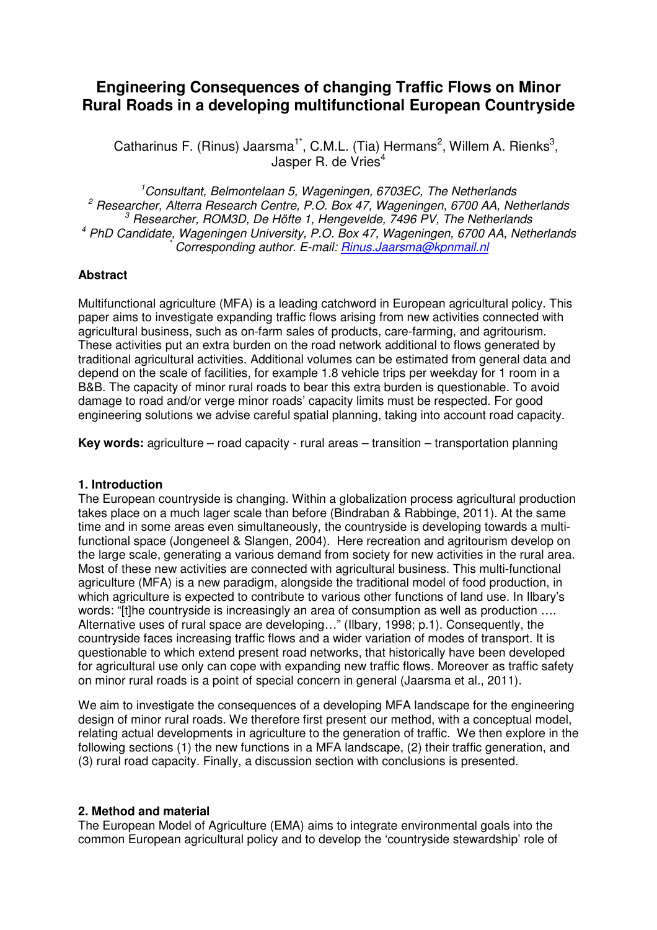# **Engineering Consequences of changing Traffic Flows on Minor Rural Roads in a developing multifunctional European Countryside**

Catharinus F. (Rinus) Jaarsma<sup>1\*</sup>, C.M.L. (Tia) Hermans<sup>2</sup>, Willem A. Rienks<sup>3</sup>, Jasper R. de Vries<sup>4</sup>

 $1$ Consultant, Belmontelaan 5, Wageningen, 6703EC, The Netherlands  $2$  Researcher, Alterra Research Centre, P.O. Box 47, Wageningen, 6700 AA, Netherlands <sup>3</sup> Researcher, ROM3D, De Höfte 1, Hengevelde, 7496 PV, The Netherlands 4 PhD Candidate, Wageningen University, P.O. Box 47, Wageningen, 6700 AA, Netherlands \* Corresponding author. E-mail: Rinus.Jaarsma@kpnmail.nl

#### **Abstract**

Multifunctional agriculture (MFA) is a leading catchword in European agricultural policy. This paper aims to investigate expanding traffic flows arising from new activities connected with agricultural business, such as on-farm sales of products, care-farming, and agritourism. These activities put an extra burden on the road network additional to flows generated by traditional agricultural activities. Additional volumes can be estimated from general data and depend on the scale of facilities, for example 1.8 vehicle trips per weekday for 1 room in a B&B. The capacity of minor rural roads to bear this extra burden is questionable. To avoid damage to road and/or verge minor roads' capacity limits must be respected. For good engineering solutions we advise careful spatial planning, taking into account road capacity.

**Key words:** agriculture – road capacity - rural areas – transition – transportation planning

#### **1. Introduction**

The European countryside is changing. Within a globalization process agricultural production takes place on a much lager scale than before (Bindraban & Rabbinge, 2011). At the same time and in some areas even simultaneously, the countryside is developing towards a multifunctional space (Jongeneel & Slangen, 2004). Here recreation and agritourism develop on the large scale, generating a various demand from society for new activities in the rural area. Most of these new activities are connected with agricultural business. This multi-functional agriculture (MFA) is a new paradigm, alongside the traditional model of food production, in which agriculture is expected to contribute to various other functions of land use. In Ilbary's words: "[t]he countryside is increasingly an area of consumption as well as production .... Alternative uses of rural space are developing…" (Ilbary, 1998; p.1). Consequently, the countryside faces increasing traffic flows and a wider variation of modes of transport. It is questionable to which extend present road networks, that historically have been developed for agricultural use only can cope with expanding new traffic flows. Moreover as traffic safety on minor rural roads is a point of special concern in general (Jaarsma et al., 2011).

We aim to investigate the consequences of a developing MFA landscape for the engineering design of minor rural roads. We therefore first present our method, with a conceptual model, relating actual developments in agriculture to the generation of traffic. We then explore in the following sections (1) the new functions in a MFA landscape, (2) their traffic generation, and (3) rural road capacity. Finally, a discussion section with conclusions is presented.

#### **2. Method and material**

The European Model of Agriculture (EMA) aims to integrate environmental goals into the common European agricultural policy and to develop the 'countryside stewardship' role of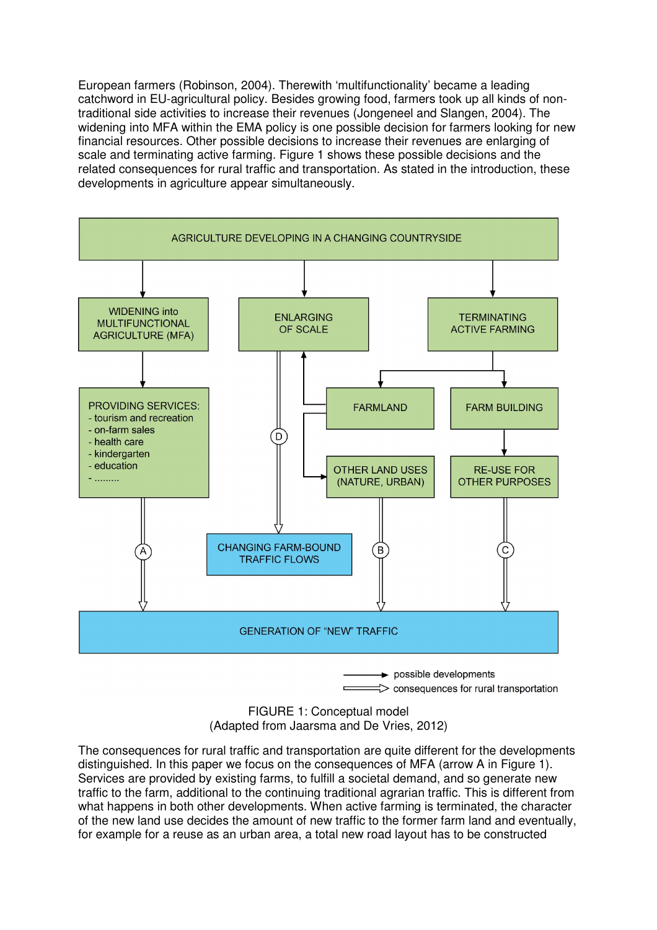European farmers (Robinson, 2004). Therewith 'multifunctionality' became a leading catchword in EU-agricultural policy. Besides growing food, farmers took up all kinds of nontraditional side activities to increase their revenues (Jongeneel and Slangen, 2004). The widening into MFA within the EMA policy is one possible decision for farmers looking for new financial resources. Other possible decisions to increase their revenues are enlarging of scale and terminating active farming. Figure 1 shows these possible decisions and the related consequences for rural traffic and transportation. As stated in the introduction, these developments in agriculture appear simultaneously.



FIGURE 1: Conceptual model (Adapted from Jaarsma and De Vries, 2012)

The consequences for rural traffic and transportation are quite different for the developments distinguished. In this paper we focus on the consequences of MFA (arrow A in Figure 1). Services are provided by existing farms, to fulfill a societal demand, and so generate new traffic to the farm, additional to the continuing traditional agrarian traffic. This is different from what happens in both other developments. When active farming is terminated, the character of the new land use decides the amount of new traffic to the former farm land and eventually, for example for a reuse as an urban area, a total new road layout has to be constructed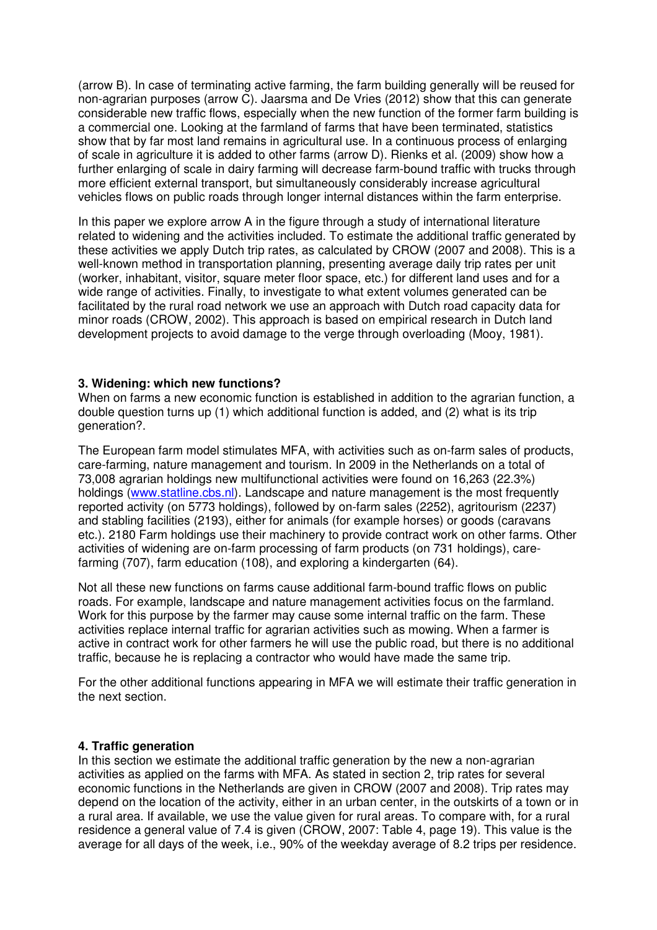(arrow B). In case of terminating active farming, the farm building generally will be reused for non-agrarian purposes (arrow C). Jaarsma and De Vries (2012) show that this can generate considerable new traffic flows, especially when the new function of the former farm building is a commercial one. Looking at the farmland of farms that have been terminated, statistics show that by far most land remains in agricultural use. In a continuous process of enlarging of scale in agriculture it is added to other farms (arrow D). Rienks et al. (2009) show how a further enlarging of scale in dairy farming will decrease farm-bound traffic with trucks through more efficient external transport, but simultaneously considerably increase agricultural vehicles flows on public roads through longer internal distances within the farm enterprise.

In this paper we explore arrow A in the figure through a study of international literature related to widening and the activities included. To estimate the additional traffic generated by these activities we apply Dutch trip rates, as calculated by CROW (2007 and 2008). This is a well-known method in transportation planning, presenting average daily trip rates per unit (worker, inhabitant, visitor, square meter floor space, etc.) for different land uses and for a wide range of activities. Finally, to investigate to what extent volumes generated can be facilitated by the rural road network we use an approach with Dutch road capacity data for minor roads (CROW, 2002). This approach is based on empirical research in Dutch land development projects to avoid damage to the verge through overloading (Mooy, 1981).

#### **3. Widening: which new functions?**

When on farms a new economic function is established in addition to the agrarian function, a double question turns up (1) which additional function is added, and (2) what is its trip generation?.

The European farm model stimulates MFA, with activities such as on-farm sales of products, care-farming, nature management and tourism. In 2009 in the Netherlands on a total of 73,008 agrarian holdings new multifunctional activities were found on 16,263 (22.3%) holdings (www.statline.cbs.nl). Landscape and nature management is the most frequently reported activity (on 5773 holdings), followed by on-farm sales (2252), agritourism (2237) and stabling facilities (2193), either for animals (for example horses) or goods (caravans etc.). 2180 Farm holdings use their machinery to provide contract work on other farms. Other activities of widening are on-farm processing of farm products (on 731 holdings), carefarming (707), farm education (108), and exploring a kindergarten (64).

Not all these new functions on farms cause additional farm-bound traffic flows on public roads. For example, landscape and nature management activities focus on the farmland. Work for this purpose by the farmer may cause some internal traffic on the farm. These activities replace internal traffic for agrarian activities such as mowing. When a farmer is active in contract work for other farmers he will use the public road, but there is no additional traffic, because he is replacing a contractor who would have made the same trip.

For the other additional functions appearing in MFA we will estimate their traffic generation in the next section.

# **4. Traffic generation**

In this section we estimate the additional traffic generation by the new a non-agrarian activities as applied on the farms with MFA. As stated in section 2, trip rates for several economic functions in the Netherlands are given in CROW (2007 and 2008). Trip rates may depend on the location of the activity, either in an urban center, in the outskirts of a town or in a rural area. If available, we use the value given for rural areas. To compare with, for a rural residence a general value of 7.4 is given (CROW, 2007: Table 4, page 19). This value is the average for all days of the week, i.e., 90% of the weekday average of 8.2 trips per residence.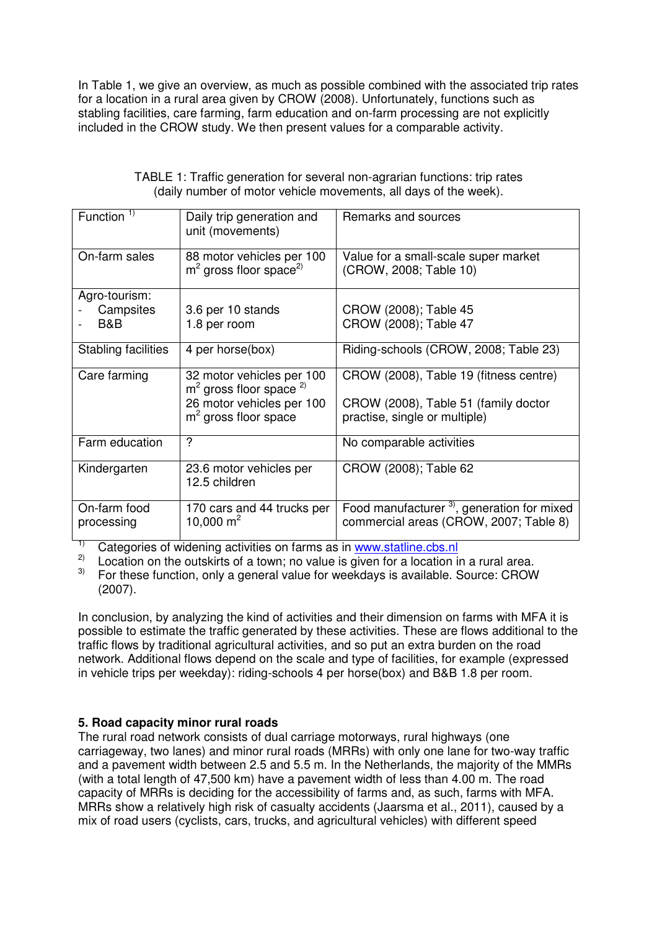In Table 1, we give an overview, as much as possible combined with the associated trip rates for a location in a rural area given by CROW (2008). Unfortunately, functions such as stabling facilities, care farming, farm education and on-farm processing are not explicitly included in the CROW study. We then present values for a comparable activity.

| Function $1$        | Daily trip generation and                                         | Remarks and sources                                            |
|---------------------|-------------------------------------------------------------------|----------------------------------------------------------------|
|                     | unit (movements)                                                  |                                                                |
| On-farm sales       | 88 motor vehicles per 100<br>$m2$ gross floor space <sup>2)</sup> | Value for a small-scale super market<br>(CROW, 2008; Table 10) |
| Agro-tourism:       |                                                                   |                                                                |
| Campsites           | 3.6 per 10 stands                                                 | CROW (2008); Table 45                                          |
| B&B                 | 1.8 per room                                                      | CROW (2008); Table 47                                          |
| Stabling facilities | 4 per horse(box)                                                  | Riding-schools (CROW, 2008; Table 23)                          |
| Care farming        | 32 motor vehicles per 100<br>$m2$ gross floor space $^{2)}$       | CROW (2008), Table 19 (fitness centre)                         |
|                     | 26 motor vehicles per 100                                         | CROW (2008), Table 51 (family doctor                           |
|                     | $m2$ gross floor space                                            | practise, single or multiple)                                  |
| Farm education      | ?                                                                 | No comparable activities                                       |
| Kindergarten        | 23.6 motor vehicles per<br>12.5 children                          | CROW (2008); Table 62                                          |
| On-farm food        | 170 cars and 44 trucks per                                        | Food manufacturer <sup>3</sup> , generation for mixed          |
| processing          | 10,000 $m^2$                                                      | commercial areas (CROW, 2007; Table 8)                         |

| TABLE 1: Traffic generation for several non-agrarian functions: trip rates |
|----------------------------------------------------------------------------|
| (daily number of motor vehicle movements, all days of the week).           |

Categories of widening activities on farms as in www.statline.cbs.nl

<sup>2)</sup> Location on the outskirts of a town; no value is given for a location in a rural area.<br><sup>3)</sup> Eor these function, only a general value for weekdays is available. Source: CBOW

3) For these function, only a general value for weekdays is available. Source: CROW (2007).

In conclusion, by analyzing the kind of activities and their dimension on farms with MFA it is possible to estimate the traffic generated by these activities. These are flows additional to the traffic flows by traditional agricultural activities, and so put an extra burden on the road network. Additional flows depend on the scale and type of facilities, for example (expressed in vehicle trips per weekday): riding-schools 4 per horse(box) and B&B 1.8 per room.

# **5. Road capacity minor rural roads**

The rural road network consists of dual carriage motorways, rural highways (one carriageway, two lanes) and minor rural roads (MRRs) with only one lane for two-way traffic and a pavement width between 2.5 and 5.5 m. In the Netherlands, the majority of the MMRs (with a total length of 47,500 km) have a pavement width of less than 4.00 m. The road capacity of MRRs is deciding for the accessibility of farms and, as such, farms with MFA. MRRs show a relatively high risk of casualty accidents (Jaarsma et al., 2011), caused by a mix of road users (cyclists, cars, trucks, and agricultural vehicles) with different speed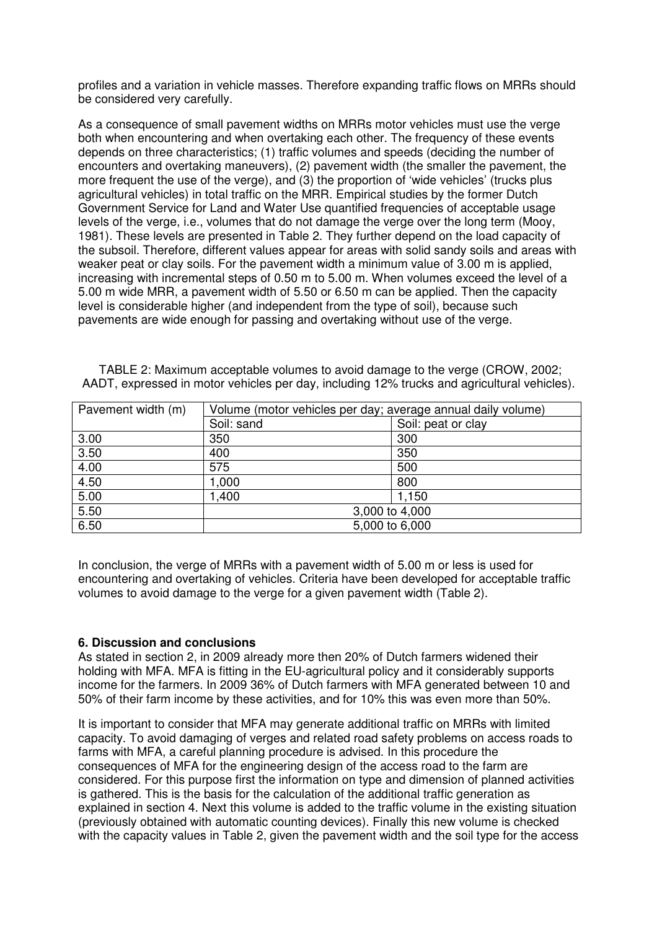profiles and a variation in vehicle masses. Therefore expanding traffic flows on MRRs should be considered very carefully.

As a consequence of small pavement widths on MRRs motor vehicles must use the verge both when encountering and when overtaking each other. The frequency of these events depends on three characteristics; (1) traffic volumes and speeds (deciding the number of encounters and overtaking maneuvers), (2) pavement width (the smaller the pavement, the more frequent the use of the verge), and (3) the proportion of 'wide vehicles' (trucks plus agricultural vehicles) in total traffic on the MRR. Empirical studies by the former Dutch Government Service for Land and Water Use quantified frequencies of acceptable usage levels of the verge, i.e., volumes that do not damage the verge over the long term (Mooy, 1981). These levels are presented in Table 2. They further depend on the load capacity of the subsoil. Therefore, different values appear for areas with solid sandy soils and areas with weaker peat or clay soils. For the pavement width a minimum value of 3.00 m is applied, increasing with incremental steps of 0.50 m to 5.00 m. When volumes exceed the level of a 5.00 m wide MRR, a pavement width of 5.50 or 6.50 m can be applied. Then the capacity level is considerable higher (and independent from the type of soil), because such pavements are wide enough for passing and overtaking without use of the verge.

| TABLE 2: Maximum acceptable volumes to avoid damage to the verge (CROW, 2002;               |  |
|---------------------------------------------------------------------------------------------|--|
| AADT, expressed in motor vehicles per day, including 12% trucks and agricultural vehicles). |  |

| Pavement width (m) | Volume (motor vehicles per day; average annual daily volume) |                    |
|--------------------|--------------------------------------------------------------|--------------------|
|                    | Soil: sand                                                   | Soil: peat or clay |
| 3.00               | 350                                                          | 300                |
| 3.50               | 400                                                          | 350                |
| 4.00               | 575                                                          | 500                |
| 4.50               | 1,000                                                        | 800                |
| 5.00               | 1,400                                                        | 1,150              |
| 5.50               | 3,000 to 4,000                                               |                    |
| 6.50               | 5,000 to 6,000                                               |                    |

In conclusion, the verge of MRRs with a pavement width of 5.00 m or less is used for encountering and overtaking of vehicles. Criteria have been developed for acceptable traffic volumes to avoid damage to the verge for a given pavement width (Table 2).

# **6. Discussion and conclusions**

As stated in section 2, in 2009 already more then 20% of Dutch farmers widened their holding with MFA. MFA is fitting in the EU-agricultural policy and it considerably supports income for the farmers. In 2009 36% of Dutch farmers with MFA generated between 10 and 50% of their farm income by these activities, and for 10% this was even more than 50%.

It is important to consider that MFA may generate additional traffic on MRRs with limited capacity. To avoid damaging of verges and related road safety problems on access roads to farms with MFA, a careful planning procedure is advised. In this procedure the consequences of MFA for the engineering design of the access road to the farm are considered. For this purpose first the information on type and dimension of planned activities is gathered. This is the basis for the calculation of the additional traffic generation as explained in section 4. Next this volume is added to the traffic volume in the existing situation (previously obtained with automatic counting devices). Finally this new volume is checked with the capacity values in Table 2, given the pavement width and the soil type for the access